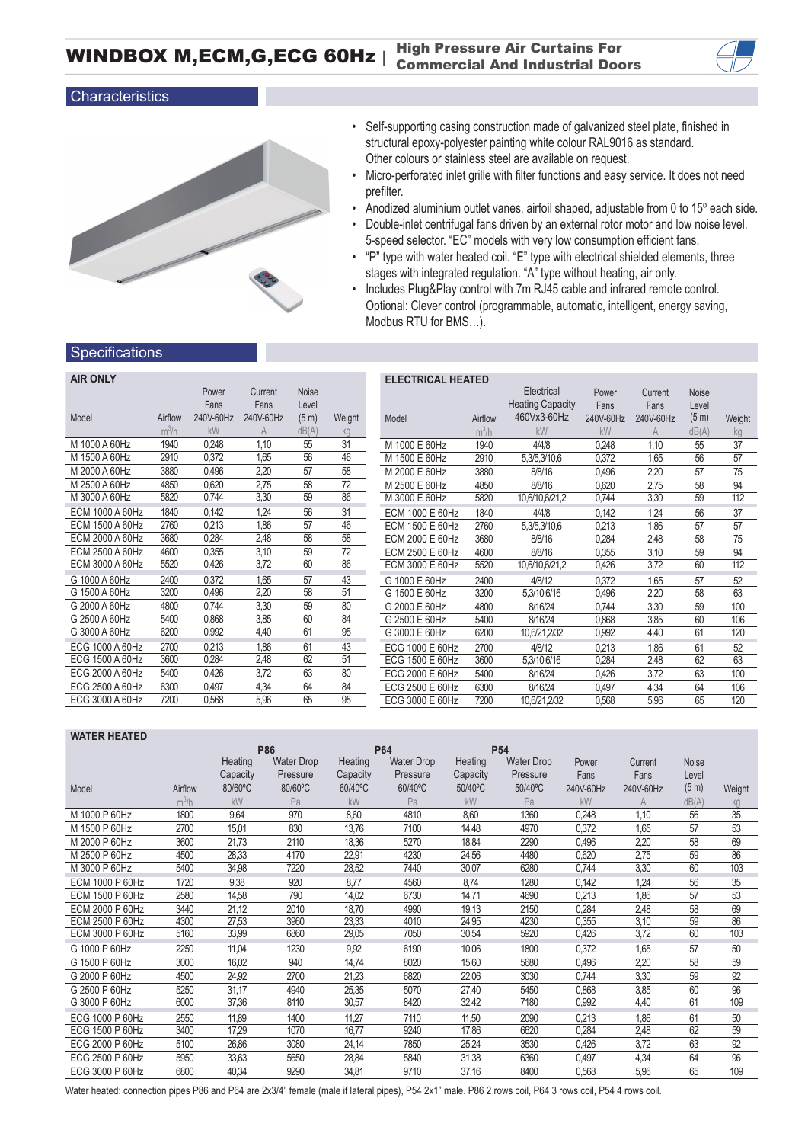WINDBOX M,ECM,G,ECG 60Hz | High Pressure Air Curtains For<br>Commercial And Industrial Doc Commercial And Industrial Doors

## Characteristics



- Self-supporting casing construction made of galvanized steel plate, finished in structural epoxy-polyester painting white colour RAL9016 as standard. Other colours or stainless steel are available on request.
- Micro-perforated inlet grille with filter functions and easy service. It does not need prefilter.
- Anodized aluminium outlet vanes, airfoil shaped, adjustable from 0 to 15º each side.
- Double-inlet centrifugal fans driven by an external rotor motor and low noise level. 5-speed selector. "EC" models with very low consumption efficient fans.
- "P" type with water heated coil. "E" type with electrical shielded elements, three stages with integrated regulation. "A" type without heating, air only.
- Includes Plug&Play control with 7m RJ45 cable and infrared remote control. Optional: Clever control (programmable, automatic, intelligent, energy saving, Modbus RTU for BMS…).

## **Specifications**

| <b>AIR ONLY</b> |         |           |           |                   |        | ELI            |
|-----------------|---------|-----------|-----------|-------------------|--------|----------------|
|                 |         | Power     | Current   | <b>Noise</b>      |        |                |
|                 |         | Fans      | Fans      | Level             |        |                |
| Model           | Airflow | 240V-60Hz | 240V-60Hz | (5 <sub>m</sub> ) | Weight | Moc            |
|                 | $m^3/h$ | kW        | A         | dB(A)             | kg     |                |
| M 1000 A 60Hz   | 1940    | 0,248     | 1,10      | 55                | 31     | M 1            |
| M 1500 A 60Hz   | 2910    | 0,372     | 1,65      | 56                | 46     | M <sub>1</sub> |
| M 2000 A 60Hz   | 3880    | 0,496     | 2,20      | 57                | 58     | M <sub>2</sub> |
| M 2500 A 60Hz   | 4850    | 0,620     | 2,75      | 58                | 72     | M <sub>2</sub> |
| M 3000 A 60Hz   | 5820    | 0,744     | 3,30      | 59                | 86     | M <sub>3</sub> |
| ECM 1000 A 60Hz | 1840    | 0,142     | 1,24      | 56                | 31     | ECI            |
| ECM 1500 A 60Hz | 2760    | 0,213     | 1,86      | 57                | 46     | ECI            |
| ECM 2000 A 60Hz | 3680    | 0,284     | 2,48      | 58                | 58     | ECI            |
| ECM 2500 A 60Hz | 4600    | 0,355     | 3,10      | 59                | 72     | ECI            |
| ECM 3000 A 60Hz | 5520    | 0,426     | 3,72      | 60                | 86     | ECI            |
| G 1000 A 60Hz   | 2400    | 0,372     | 1,65      | 57                | 43     | G 1            |
| G 1500 A 60Hz   | 3200    | 0,496     | 2,20      | 58                | 51     | G <sub>1</sub> |
| G 2000 A 60Hz   | 4800    | 0,744     | 3,30      | 59                | 80     | G <sub>2</sub> |
| G 2500 A 60Hz   | 5400    | 0,868     | 3,85      | 60                | 84     | G <sub>2</sub> |
| G 3000 A 60Hz   | 6200    | 0,992     | 4,40      | 61                | 95     | G <sub>3</sub> |
| ECG 1000 A 60Hz | 2700    | 0,213     | 1,86      | 61                | 43     | <b>EC</b>      |
| ECG 1500 A 60Hz | 3600    | 0,284     | 2,48      | 62                | 51     | <b>EC</b>      |
| ECG 2000 A 60Hz | 5400    | 0,426     | 3,72      | 63                | 80     | <b>EC</b>      |
| ECG 2500 A 60Hz | 6300    | 0,497     | 4,34      | 64                | 84     | <b>EC</b>      |
| ECG 3000 A 60Hz | 7200    | 0,568     | 5,96      | 65                | 95     | <b>EC</b>      |
|                 |         |           |           |                   |        |                |

| <b>ELECTRICAL HEATED</b> |         |                         |           |                |       |        |  |  |  |
|--------------------------|---------|-------------------------|-----------|----------------|-------|--------|--|--|--|
|                          |         | Electrical              | Power     | Current        | Noise |        |  |  |  |
|                          |         | <b>Heating Capacity</b> | Fans      | Fans           | Level |        |  |  |  |
| Airflow<br>Model         |         | 460Vx3-60Hz             | 240V-60Hz | 240V-60Hz      | (5 m) | Weight |  |  |  |
|                          | $m^3/h$ | kW                      | kW        | $\overline{A}$ | dB(A) | kg     |  |  |  |
| M 1000 E 60Hz            | 1940    | 4/4/8                   | 0,248     | 1,10           | 55    | 37     |  |  |  |
| M 1500 E 60Hz            | 2910    | 5,3/5,3/10,6            | 0,372     | 1,65           | 56    | 57     |  |  |  |
| M 2000 E 60Hz            | 3880    | 8/8/16                  | 0,496     | 2,20           | 57    | 75     |  |  |  |
| M 2500 E 60Hz            | 4850    | 8/8/16                  | 0,620     | 2,75           | 58    | 94     |  |  |  |
| M 3000 E 60Hz            | 5820    | 10,6/10,6/21,2          | 0,744     | 3,30           | 59    | 112    |  |  |  |
| ECM 1000 E 60Hz          | 1840    | 4/4/8                   | 0,142     | 1,24           | 56    | 37     |  |  |  |
| ECM 1500 E 60Hz          | 2760    | 5,3/5,3/10,6            | 0,213     | 1,86           | 57    | 57     |  |  |  |
| ECM 2000 E 60Hz          | 3680    | 8/8/16                  | 0,284     | 2,48           | 58    | 75     |  |  |  |
| ECM 2500 E 60Hz          | 4600    | 8/8/16                  | 0,355     | 3,10           | 59    | 94     |  |  |  |
| ECM 3000 E 60Hz          | 5520    | 10,6/10,6/21,2          | 0,426     | 3,72           | 60    | 112    |  |  |  |
| G 1000 E 60Hz            | 2400    | 4/8/12                  | 0.372     | 1.65           | 57    | 52     |  |  |  |
| G 1500 E 60Hz            | 3200    | 5,3/10,6/16             | 0,496     | 2,20           | 58    | 63     |  |  |  |
| G 2000 E 60Hz            | 4800    | 8/16/24                 | 0,744     | 3,30           | 59    | 100    |  |  |  |
| G 2500 E 60Hz            | 5400    | 8/16/24                 | 0,868     | 3,85           | 60    | 106    |  |  |  |
| G 3000 E 60Hz            | 6200    | 10,6/21,2/32            | 0,992     | 4,40           | 61    | 120    |  |  |  |
| ECG 1000 E 60Hz          | 2700    | 4/8/12                  | 0.213     | 1,86           | 61    | 52     |  |  |  |
| ECG 1500 E 60Hz          | 3600    | 5,3/10,6/16             | 0.284     | 2,48           | 62    | 63     |  |  |  |
| ECG 2000 E 60Hz          | 5400    | 8/16/24                 | 0,426     | 3,72           | 63    | 100    |  |  |  |
| ECG 2500 E 60Hz          | 6300    | 8/16/24                 | 0,497     | 4,34           | 64    | 106    |  |  |  |
| ECG 3000 E 60Hz          | 7200    | 10,6/21,2/32            | 0,568     | 5,96           | 65    | 120    |  |  |  |

|         |          | P86               |          | <b>P64</b>        |          | P <sub>54</sub>   |           |           |       |          |
|---------|----------|-------------------|----------|-------------------|----------|-------------------|-----------|-----------|-------|----------|
|         | Heating  | <b>Water Drop</b> | Heating  | <b>Water Drop</b> | Heating  | <b>Water Drop</b> | Power     | Current   | Noise |          |
|         | Capacity | Pressure          | Capacity | Pressure          | Capacity | Pressure          | Fans      | Fans      | Level |          |
| Airflow | 80/60°C  | 80/60°C           | 60/40°C  | 60/40°C           | 50/40°C  | 50/40°C           | 240V-60Hz | 240V-60Hz | (5 m) | Weight   |
| $m^3/h$ | kW       | Pa                | kW       | Pa                | kW       | Pa                | kW        |           | dB(A) | kg       |
| 1800    | 9,64     | 970               | 8,60     | 4810              | 8.60     | 1360              | 0,248     | 1,10      | 56    | 35       |
| 2700    | 15,01    | 830               | 13,76    | 7100              | 14.48    | 4970              | 0,372     | 1,65      | 57    | 53       |
| 3600    | 21,73    | 2110              | 18,36    | 5270              | 18,84    | 2290              | 0,496     | 2,20      | 58    | 69       |
| 4500    | 28,33    | 4170              | 22,91    | 4230              | 24,56    | 4480              | 0,620     | 2,75      | 59    | 86       |
| 5400    | 34,98    | 7220              | 28,52    | 7440              | 30,07    | 6280              | 0,744     | 3,30      |       | 103      |
| 1720    | 9,38     | 920               | 8,77     | 4560              | 8.74     | 1280              | 0,142     | 1,24      | 56    | 35       |
| 2580    | 14,58    | 790               | 14,02    | 6730              | 14,71    | 4690              | 0,213     | 1,86      | 57    | 53       |
| 3440    | 21,12    | 2010              | 18,70    | 4990              | 19,13    | 2150              | 0,284     | 2,48      | 58    | 69       |
| 4300    | 27,53    | 3960              | 23,33    | 4010              | 24,95    | 4230              | 0,355     | 3,10      | 59    | 86       |
|         |          |                   |          |                   |          |                   |           |           |       | 103      |
| 2250    | 11,04    | 1230              | 9,92     | 6190              | 10,06    | 1800              | 0,372     | 1,65      | 57    | 50       |
| 3000    | 16,02    | 940               | 14,74    | 8020              | 15,60    | 5680              | 0,496     | 2,20      | 58    | 59       |
| 4500    | 24,92    | 2700              | 21,23    | 6820              | 22,06    | 3030              | 0,744     | 3,30      | 59    | 92       |
| 5250    | 31,17    | 4940              | 25,35    | 5070              | 27,40    | 5450              | 0,868     | 3,85      | 60    | 96       |
| 6000    | 37,36    | 8110              | 30,57    | 8420              | 32,42    | 7180              | 0,992     | 4,40      | 61    | 109      |
| 2550    | 11,89    | 1400              | 11,27    | 7110              | 11,50    | 2090              | 0,213     | 1.86      | 61    | 50       |
| 3400    | 17,29    | 1070              | 16,77    | 9240              | 17,86    | 6620              | 0,284     | 2,48      | 62    | 59       |
| 5100    | 26,86    | 3080              | 24,14    | 7850              | 25,24    | 3530              | 0,426     | 3,72      | 63    | 92       |
| 5950    | 33,63    | 5650              | 28,84    | 5840              | 31,38    | 6360              | 0,497     | 4,34      | 64    | 96       |
| 6800    | 40,34    | 9290              | 34,81    | 9710              | 37,16    | 8400              | 0,568     | 5,96      | 65    | 109      |
|         | 5160     | 33,99             | 6860     | 29,05             | 7050     | 30,54             | 5920      | 0,426     | 3,72  | 60<br>60 |

Water heated: connection pipes P86 and P64 are 2x3/4" female (male if lateral pipes), P54 2x1" male. P86 2 rows coil, P64 3 rows coil, P54 4 rows coil.